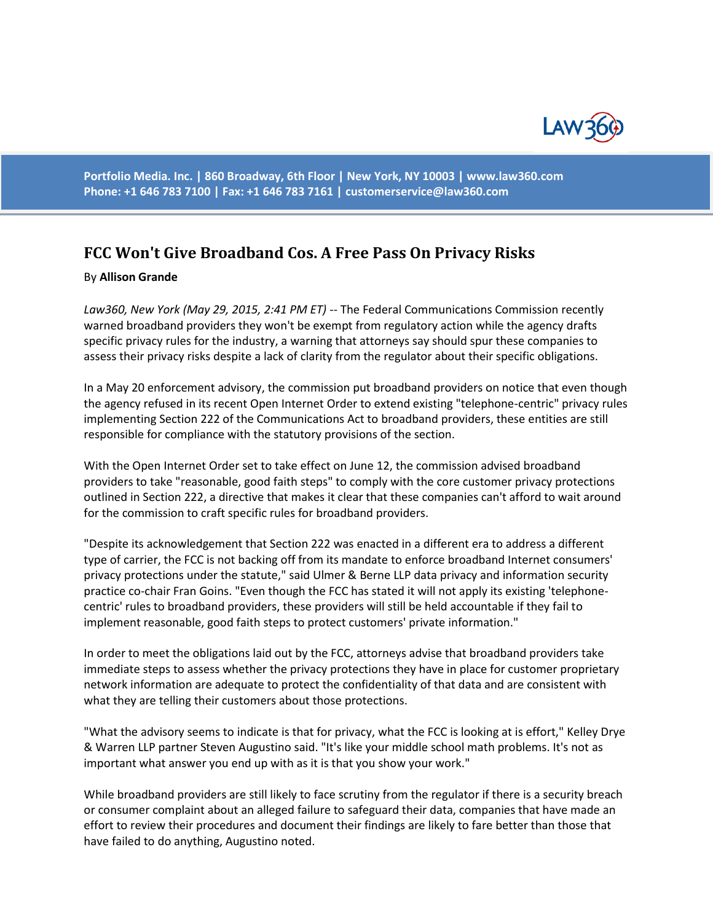

**Portfolio Media. Inc. | 860 Broadway, 6th Floor | New York, NY 10003 | www.law360.com Phone: +1 646 783 7100 | Fax: +1 646 783 7161 | [customerservice@law360.com](mailto:customerservice@law360.com)**

## **FCC Won't Give Broadband Cos. A Free Pass On Privacy Risks**

## By **Allison Grande**

*Law360, New York (May 29, 2015, 2:41 PM ET)* -- The Federal Communications Commission recently warned broadband providers they won't be exempt from regulatory action while the agency drafts specific privacy rules for the industry, a warning that attorneys say should spur these companies to assess their privacy risks despite a lack of clarity from the regulator about their specific obligations.

In a May 20 enforcement advisory, the commission put broadband providers on notice that even though the agency refused in its recent Open Internet Order to extend existing "telephone-centric" privacy rules implementing Section 222 of the Communications Act to broadband providers, these entities are still responsible for compliance with the statutory provisions of the section.

With the Open Internet Order set to take effect on June 12, the commission advised broadband providers to take "reasonable, good faith steps" to comply with the core customer privacy protections outlined in Section 222, a directive that makes it clear that these companies can't afford to wait around for the commission to craft specific rules for broadband providers.

"Despite its acknowledgement that Section 222 was enacted in a different era to address a different type of carrier, the FCC is not backing off from its mandate to enforce broadband Internet consumers' privacy protections under the statute," said Ulmer & Berne LLP data privacy and information security practice co-chair Fran Goins. "Even though the FCC has stated it will not apply its existing 'telephonecentric' rules to broadband providers, these providers will still be held accountable if they fail to implement reasonable, good faith steps to protect customers' private information."

In order to meet the obligations laid out by the FCC, attorneys advise that broadband providers take immediate steps to assess whether the privacy protections they have in place for customer proprietary network information are adequate to protect the confidentiality of that data and are consistent with what they are telling their customers about those protections.

"What the advisory seems to indicate is that for privacy, what the FCC is looking at is effort," Kelley Drye & Warren LLP partner Steven Augustino said. "It's like your middle school math problems. It's not as important what answer you end up with as it is that you show your work."

While broadband providers are still likely to face scrutiny from the regulator if there is a security breach or consumer complaint about an alleged failure to safeguard their data, companies that have made an effort to review their procedures and document their findings are likely to fare better than those that have failed to do anything, Augustino noted.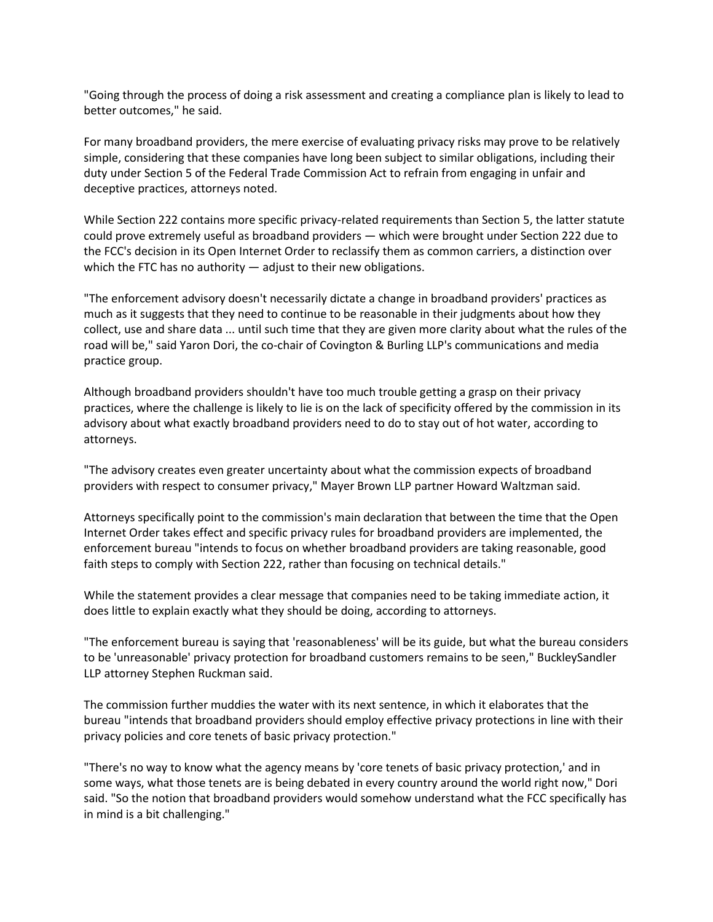"Going through the process of doing a risk assessment and creating a compliance plan is likely to lead to better outcomes," he said.

For many broadband providers, the mere exercise of evaluating privacy risks may prove to be relatively simple, considering that these companies have long been subject to similar obligations, including their duty under Section 5 of the Federal Trade Commission Act to refrain from engaging in unfair and deceptive practices, attorneys noted.

While Section 222 contains more specific privacy-related requirements than Section 5, the latter statute could prove extremely useful as broadband providers — which were brought under Section 222 due to the FCC's decision in its Open Internet Order to reclassify them as common carriers, a distinction over which the FTC has no authority — adjust to their new obligations.

"The enforcement advisory doesn't necessarily dictate a change in broadband providers' practices as much as it suggests that they need to continue to be reasonable in their judgments about how they collect, use and share data ... until such time that they are given more clarity about what the rules of the road will be," said Yaron Dori, the co-chair of Covington & Burling LLP's communications and media practice group.

Although broadband providers shouldn't have too much trouble getting a grasp on their privacy practices, where the challenge is likely to lie is on the lack of specificity offered by the commission in its advisory about what exactly broadband providers need to do to stay out of hot water, according to attorneys.

"The advisory creates even greater uncertainty about what the commission expects of broadband providers with respect to consumer privacy," Mayer Brown LLP partner Howard Waltzman said.

Attorneys specifically point to the commission's main declaration that between the time that the Open Internet Order takes effect and specific privacy rules for broadband providers are implemented, the enforcement bureau "intends to focus on whether broadband providers are taking reasonable, good faith steps to comply with Section 222, rather than focusing on technical details."

While the statement provides a clear message that companies need to be taking immediate action, it does little to explain exactly what they should be doing, according to attorneys.

"The enforcement bureau is saying that 'reasonableness' will be its guide, but what the bureau considers to be 'unreasonable' privacy protection for broadband customers remains to be seen," BuckleySandler LLP attorney Stephen Ruckman said.

The commission further muddies the water with its next sentence, in which it elaborates that the bureau "intends that broadband providers should employ effective privacy protections in line with their privacy policies and core tenets of basic privacy protection."

"There's no way to know what the agency means by 'core tenets of basic privacy protection,' and in some ways, what those tenets are is being debated in every country around the world right now," Dori said. "So the notion that broadband providers would somehow understand what the FCC specifically has in mind is a bit challenging."